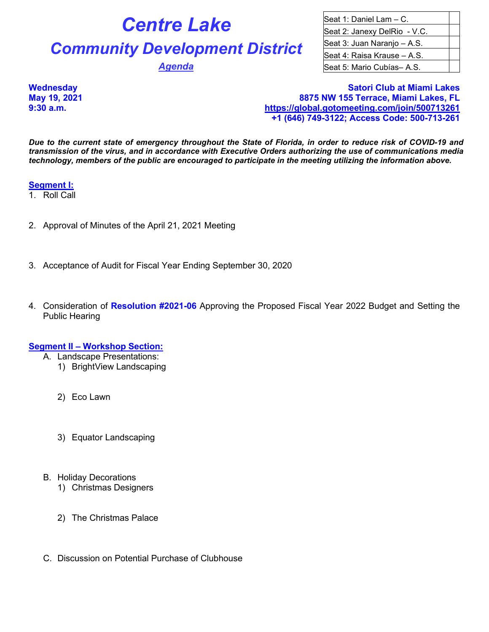# **Centre Lake Community Development District**

**Agenda** 

| Seat 1: Daniel Lam - C.      |  |
|------------------------------|--|
| Seat 2: Janexy DelRio - V.C. |  |
| Seat 3: Juan Naranjo - A.S.  |  |
| Seat 4: Raisa Krause - A.S.  |  |
| Seat 5: Mario Cubías-A.S.    |  |

**Wednesday Satori Club at Miami Lakes May 19, 2021 8875 NW 155 Terrace, Miami Lakes, FL 9:30 a.m. <https://global.gotomeeting.com/join/500713261> +1 (646) 749-3122; Access Code: 500-713-261**

*Due to the current state of emergency throughout the State of Florida, in order to reduce risk of COVID-19 and transmission of the virus, and in accordance with Executive Orders authorizing the use of communications media technology, members of the public are encouraged to participate in the meeting utilizing the information above.*

#### **Segment I:**

- 1. Roll Call
- 2. Approval of Minutes of the April 21, 2021 Meeting
- 3. Acceptance of Audit for Fiscal Year Ending September 30, 2020
- 4. Consideration of **Resolution #2021-06** Approving the Proposed Fiscal Year 2022 Budget and Setting the Public Hearing

# **Segment II – Workshop Section:**

- A. Landscape Presentations:
	- 1) BrightView Landscaping
	- 2) Eco Lawn
	- 3) Equator Landscaping
- B. Holiday Decorations
	- 1) Christmas Designers
	- 2) The Christmas Palace
- C. Discussion on Potential Purchase of Clubhouse